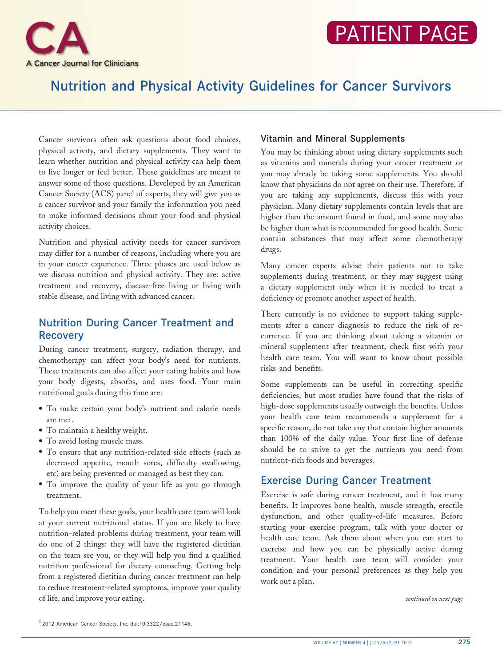

# Nutrition and Physical Activity Guidelines for Cancer Survivors

Cancer survivors often ask questions about food choices, physical activity, and dietary supplements. They want to learn whether nutrition and physical activity can help them to live longer or feel better. These guidelines are meant to answer some of those questions. Developed by an American Cancer Society (ACS) panel of experts, they will give you as a cancer survivor and your family the information you need to make informed decisions about your food and physical activity choices.

Nutrition and physical activity needs for cancer survivors may differ for a number of reasons, including where you are in your cancer experience. Three phases are used below as we discuss nutrition and physical activity. They are: active treatment and recovery, disease-free living or living with stable disease, and living with advanced cancer.

# Nutrition During Cancer Treatment and **Recovery**

During cancer treatment, surgery, radiation therapy, and chemotherapy can affect your body's need for nutrients. These treatments can also affect your eating habits and how your body digests, absorbs, and uses food. Your main nutritional goals during this time are:

- To make certain your body's nutrient and calorie needs are met.
- To maintain a healthy weight.
- To avoid losing muscle mass.
- To ensure that any nutrition-related side effects (such as decreased appetite, mouth sores, difficulty swallowing, etc) are being prevented or managed as best they can.
- To improve the quality of your life as you go through treatment.

To help you meet these goals, your health care team will look at your current nutritional status. If you are likely to have nutrition-related problems during treatment, your team will do one of 2 things: they will have the registered dietitian on the team see you, or they will help you find a qualified nutrition professional for dietary counseling. Getting help from a registered dietitian during cancer treatment can help to reduce treatment-related symptoms, improve your quality of life, and improve your eating.

#### Vitamin and Mineral Supplements

You may be thinking about using dietary supplements such as vitamins and minerals during your cancer treatment or you may already be taking some supplements. You should know that physicians do not agree on their use. Therefore, if you are taking any supplements, discuss this with your physician. Many dietary supplements contain levels that are higher than the amount found in food, and some may also be higher than what is recommended for good health. Some contain substances that may affect some chemotherapy drugs.

Many cancer experts advise their patients not to take supplements during treatment, or they may suggest using a dietary supplement only when it is needed to treat a deficiency or promote another aspect of health.

There currently is no evidence to support taking supplements after a cancer diagnosis to reduce the risk of recurrence. If you are thinking about taking a vitamin or mineral supplement after treatment, check first with your health care team. You will want to know about possible risks and benefits.

Some supplements can be useful in correcting specific deficiencies, but most studies have found that the risks of high-dose supplements usually outweigh the benefits. Unless your health care team recommends a supplement for a specific reason, do not take any that contain higher amounts than 100% of the daily value. Your first line of defense should be to strive to get the nutrients you need from nutrient-rich foods and beverages.

# Exercise During Cancer Treatment

Exercise is safe during cancer treatment, and it has many benefits. It improves bone health, muscle strength, erectile dysfunction, and other quality-of-life measures. Before starting your exercise program, talk with your doctor or health care team. Ask them about when you can start to exercise and how you can be physically active during treatment. Your health care team will consider your condition and your personal preferences as they help you work out a plan.

continued on next page

<sup>© 2012</sup> American Cancer Society, Inc. doi:10.3322/caac.21146.